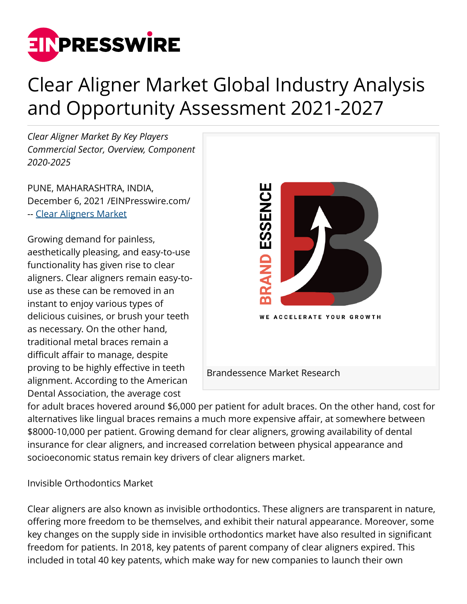

# Clear Aligner Market Global Industry Analysis and Opportunity Assessment 2021-2027

*Clear Aligner Market By Key Players Commercial Sector, Overview, Component 2020-2025*

PUNE, MAHARASHTRA, INDIA, December 6, 2021 /[EINPresswire.com](http://www.einpresswire.com)/ -- [Clear Aligners Market](https://brandessenceresearch.com/healthcare/clear-aligner-market-by)

Growing demand for painless, aesthetically pleasing, and easy-to-use functionality has given rise to clear aligners. Clear aligners remain easy-touse as these can be removed in an instant to enjoy various types of delicious cuisines, or brush your teeth as necessary. On the other hand, traditional metal braces remain a difficult affair to manage, despite proving to be highly effective in teeth alignment. According to the American Dental Association, the average cost



for adult braces hovered around \$6,000 per patient for adult braces. On the other hand, cost for alternatives like lingual braces remains a much more expensive affair, at somewhere between \$8000-10,000 per patient. Growing demand for clear aligners, growing availability of dental insurance for clear aligners, and increased correlation between physical appearance and socioeconomic status remain key drivers of clear aligners market.

Invisible Orthodontics Market

Clear aligners are also known as invisible orthodontics. These aligners are transparent in nature, offering more freedom to be themselves, and exhibit their natural appearance. Moreover, some key changes on the supply side in invisible orthodontics market have also resulted in significant freedom for patients. In 2018, key patents of parent company of clear aligners expired. This included in total 40 key patents, which make way for new companies to launch their own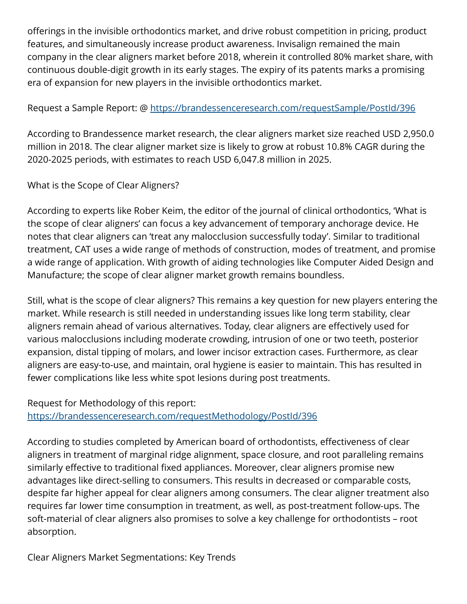offerings in the invisible orthodontics market, and drive robust competition in pricing, product features, and simultaneously increase product awareness. Invisalign remained the main company in the clear aligners market before 2018, wherein it controlled 80% market share, with continuous double-digit growth in its early stages. The expiry of its patents marks a promising era of expansion for new players in the invisible orthodontics market.

## Request a Sample Report: @<https://brandessenceresearch.com/requestSample/PostId/396>

According to Brandessence market research, the clear aligners market size reached USD 2,950.0 million in 2018. The clear aligner market size is likely to grow at robust 10.8% CAGR during the 2020-2025 periods, with estimates to reach USD 6,047.8 million in 2025.

### What is the Scope of Clear Aligners?

According to experts like Rober Keim, the editor of the journal of clinical orthodontics, 'What is the scope of clear aligners' can focus a key advancement of temporary anchorage device. He notes that clear aligners can 'treat any malocclusion successfully today'. Similar to traditional treatment, CAT uses a wide range of methods of construction, modes of treatment, and promise a wide range of application. With growth of aiding technologies like Computer Aided Design and Manufacture; the scope of clear aligner market growth remains boundless.

Still, what is the scope of clear aligners? This remains a key question for new players entering the market. While research is still needed in understanding issues like long term stability, clear aligners remain ahead of various alternatives. Today, clear aligners are effectively used for various malocclusions including moderate crowding, intrusion of one or two teeth, posterior expansion, distal tipping of molars, and lower incisor extraction cases. Furthermore, as clear aligners are easy-to-use, and maintain, oral hygiene is easier to maintain. This has resulted in fewer complications like less white spot lesions during post treatments.

#### Request for Methodology of this report: <https://brandessenceresearch.com/requestMethodology/PostId/396>

According to studies completed by American board of orthodontists, effectiveness of clear aligners in treatment of marginal ridge alignment, space closure, and root paralleling remains similarly effective to traditional fixed appliances. Moreover, clear aligners promise new advantages like direct-selling to consumers. This results in decreased or comparable costs, despite far higher appeal for clear aligners among consumers. The clear aligner treatment also requires far lower time consumption in treatment, as well, as post-treatment follow-ups. The soft-material of clear aligners also promises to solve a key challenge for orthodontists – root absorption.

Clear Aligners Market Segmentations: Key Trends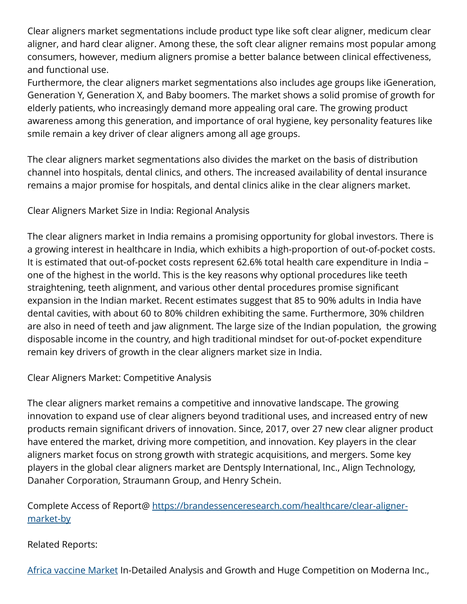Clear aligners market segmentations include product type like soft clear aligner, medicum clear aligner, and hard clear aligner. Among these, the soft clear aligner remains most popular among consumers, however, medium aligners promise a better balance between clinical effectiveness, and functional use.

Furthermore, the clear aligners market segmentations also includes age groups like iGeneration, Generation Y, Generation X, and Baby boomers. The market shows a solid promise of growth for elderly patients, who increasingly demand more appealing oral care. The growing product awareness among this generation, and importance of oral hygiene, key personality features like smile remain a key driver of clear aligners among all age groups.

The clear aligners market segmentations also divides the market on the basis of distribution channel into hospitals, dental clinics, and others. The increased availability of dental insurance remains a major promise for hospitals, and dental clinics alike in the clear aligners market.

Clear Aligners Market Size in India: Regional Analysis

The clear aligners market in India remains a promising opportunity for global investors. There is a growing interest in healthcare in India, which exhibits a high-proportion of out-of-pocket costs. It is estimated that out-of-pocket costs represent 62.6% total health care expenditure in India – one of the highest in the world. This is the key reasons why optional procedures like teeth straightening, teeth alignment, and various other dental procedures promise significant expansion in the Indian market. Recent estimates suggest that 85 to 90% adults in India have dental cavities, with about 60 to 80% children exhibiting the same. Furthermore, 30% children are also in need of teeth and jaw alignment. The large size of the Indian population, the growing disposable income in the country, and high traditional mindset for out-of-pocket expenditure remain key drivers of growth in the clear aligners market size in India.

Clear Aligners Market: Competitive Analysis

The clear aligners market remains a competitive and innovative landscape. The growing innovation to expand use of clear aligners beyond traditional uses, and increased entry of new products remain significant drivers of innovation. Since, 2017, over 27 new clear aligner product have entered the market, driving more competition, and innovation. Key players in the clear aligners market focus on strong growth with strategic acquisitions, and mergers. Some key players in the global clear aligners market are Dentsply International, Inc., Align Technology, Danaher Corporation, Straumann Group, and Henry Schein.

Complete Access of Report@ [https://brandessenceresearch.com/healthcare/clear-aligner](https://brandessenceresearch.com/healthcare/clear-aligner-market-by)[market-by](https://brandessenceresearch.com/healthcare/clear-aligner-market-by)

#### Related Reports:

[Africa vaccine Market](https://www.prnewswire.com/news-releases/africa-vaccine-market-in-detailed-analysis-and-growth-and-huge-competition-on-moderna-inc-innovative-biotech-biovaccines-nigeria-limited--says-brandessence-market-research-301399308.html) In-Detailed Analysis and Growth and Huge Competition on Moderna Inc.,